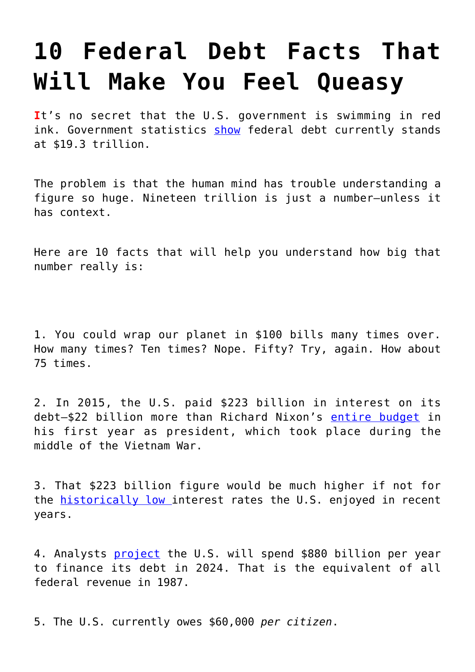## **[10 Federal Debt Facts That](https://intellectualtakeout.org/2016/06/10-federal-debt-facts-that-will-make-you-feel-queasy/) [Will Make You Feel Queasy](https://intellectualtakeout.org/2016/06/10-federal-debt-facts-that-will-make-you-feel-queasy/)**

**I**t's no secret that the U.S. government is swimming in red ink. Government statistics [show](http://www.nationaldebtclocks.org/debtclock/unitedstates) federal debt currently stands at \$19.3 trillion.

The problem is that the human mind has trouble understanding a figure so huge. Nineteen trillion is just a number—unless it has context.

Here are 10 facts that will help you understand how big that number really is:

1. You could wrap our planet in \$100 bills many times over. How many times? Ten times? Nope. Fifty? Try, again. How about 75 times.

2. In 2015, the U.S. paid \$223 billion in interest on its debt-\$22 billion more than Richard Nixon's [entire budget](http://library.cqpress.com/cqalmanac/document.php?id=cqal70-1292508) in his first year as president, which took place during the middle of the Vietnam War.

3. That \$223 billion figure would be much higher if not for the **historically low** interest rates the U.S. enjoyed in recent years.

4. Analysts [project](http://money.cnn.com/2014/02/04/news/economy/budget-outlook-interest-on-debt/) the U.S. will spend \$880 billion per year to finance its debt in 2024. That is the equivalent of all federal revenue in 1987.

5. The U.S. currently owes \$60,000 *per citizen*.